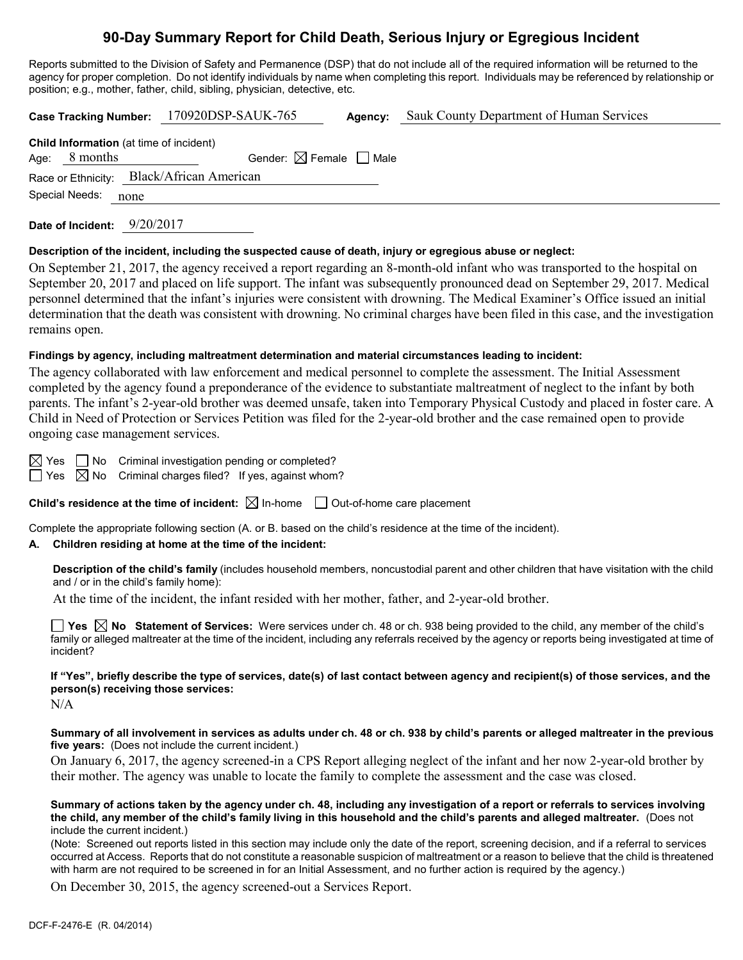# **90-Day Summary Report for Child Death, Serious Injury or Egregious Incident**

Reports submitted to the Division of Safety and Permanence (DSP) that do not include all of the required information will be returned to the agency for proper completion. Do not identify individuals by name when completing this report. Individuals may be referenced by relationship or position; e.g., mother, father, child, sibling, physician, detective, etc.

|                                                                     | Case Tracking Number: 170920DSP-SAUK-765 | Agency: | Sauk County Department of Human Services |
|---------------------------------------------------------------------|------------------------------------------|---------|------------------------------------------|
| <b>Child Information</b> (at time of incident)<br>8 months<br>Age:  | Gender: $\boxtimes$ Female $\Box$ Male   |         |                                          |
| Race or Ethnicity: Black/African American<br>Special Needs:<br>none |                                          |         |                                          |
|                                                                     |                                          |         |                                          |

**Date of Incident:** 9/20/2017

#### **Description of the incident, including the suspected cause of death, injury or egregious abuse or neglect:**

On September 21, 2017, the agency received a report regarding an 8-month-old infant who was transported to the hospital on September 20, 2017 and placed on life support. The infant was subsequently pronounced dead on September 29, 2017. Medical personnel determined that the infant's injuries were consistent with drowning. The Medical Examiner's Office issued an initial determination that the death was consistent with drowning. No criminal charges have been filed in this case, and the investigation remains open.

#### **Findings by agency, including maltreatment determination and material circumstances leading to incident:**

The agency collaborated with law enforcement and medical personnel to complete the assessment. The Initial Assessment completed by the agency found a preponderance of the evidence to substantiate maltreatment of neglect to the infant by both parents. The infant's 2-year-old brother was deemed unsafe, taken into Temporary Physical Custody and placed in foster care. A Child in Need of Protection or Services Petition was filed for the 2-year-old brother and the case remained open to provide ongoing case management services.

 $\boxtimes$  Yes  $\Box$  No Criminal investigation pending or completed?  $\Box$  Yes  $\boxtimes$  No Criminal charges filed? If yes, against whom?

**Child's residence at the time of incident:**  $\boxtimes$  In-home  $\Box$  Out-of-home care placement

Complete the appropriate following section (A. or B. based on the child's residence at the time of the incident).

#### **A. Children residing at home at the time of the incident:**

**Description of the child's family** (includes household members, noncustodial parent and other children that have visitation with the child and / or in the child's family home):

At the time of the incident, the infant resided with her mother, father, and 2-year-old brother.

**Yes No Statement of Services:** Were services under ch. 48 or ch. 938 being provided to the child, any member of the child's family or alleged maltreater at the time of the incident, including any referrals received by the agency or reports being investigated at time of incident?

**If "Yes", briefly describe the type of services, date(s) of last contact between agency and recipient(s) of those services, and the person(s) receiving those services:**

 $N/A$ 

**Summary of all involvement in services as adults under ch. 48 or ch. 938 by child's parents or alleged maltreater in the previous five years:** (Does not include the current incident.)

On January 6, 2017, the agency screened-in a CPS Report alleging neglect of the infant and her now 2-year-old brother by their mother. The agency was unable to locate the family to complete the assessment and the case was closed.

**Summary of actions taken by the agency under ch. 48, including any investigation of a report or referrals to services involving the child, any member of the child's family living in this household and the child's parents and alleged maltreater.** (Does not include the current incident.)

(Note: Screened out reports listed in this section may include only the date of the report, screening decision, and if a referral to services occurred at Access. Reports that do not constitute a reasonable suspicion of maltreatment or a reason to believe that the child is threatened with harm are not required to be screened in for an Initial Assessment, and no further action is required by the agency.)

On December 30, 2015, the agency screened-out a Services Report.